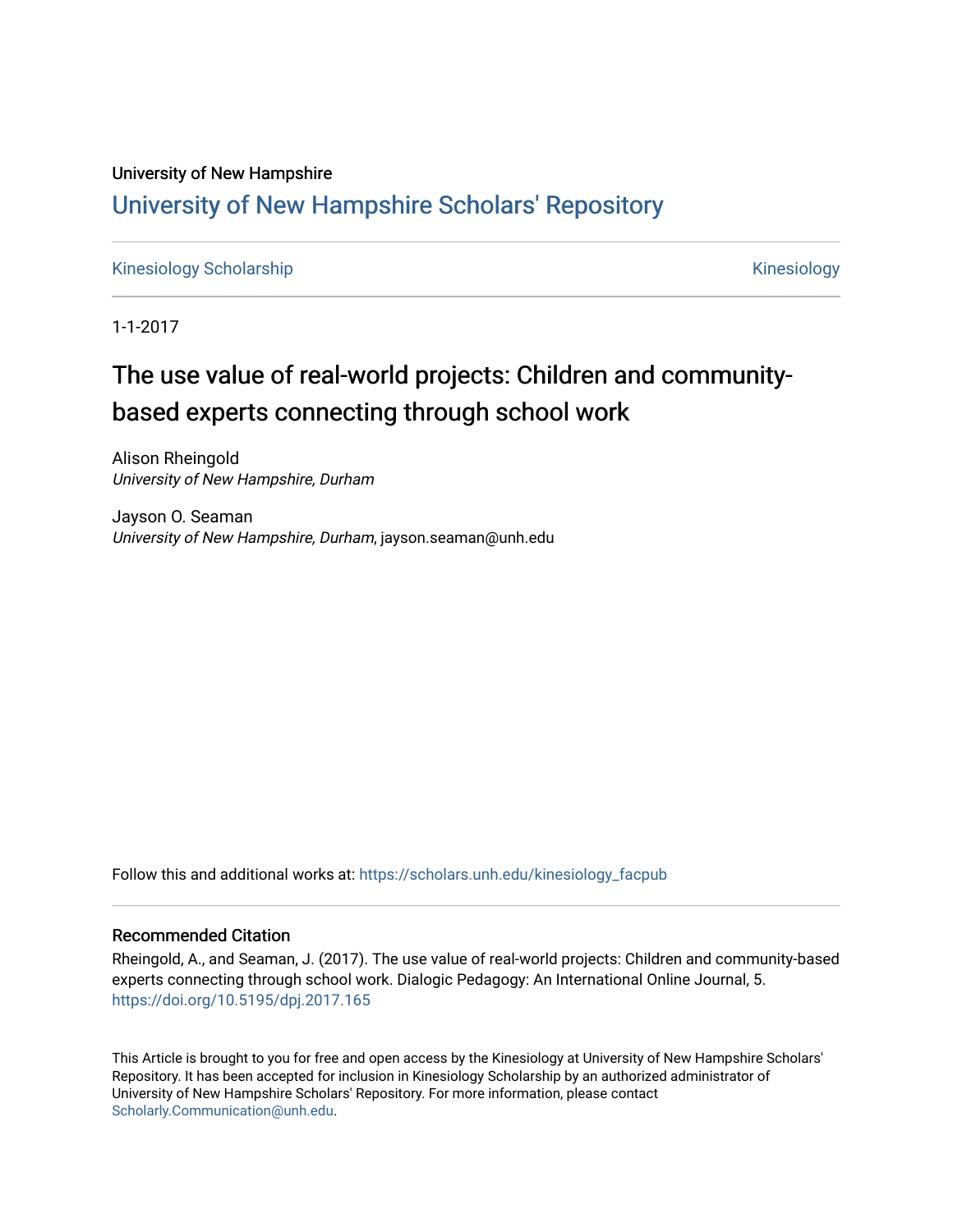# University of New Hampshire [University of New Hampshire Scholars' Repository](https://scholars.unh.edu/)

[Kinesiology Scholarship](https://scholars.unh.edu/kinesiology_facpub) **Kinesiology** Kinesiology

1-1-2017

# The use value of real-world projects: Children and communitybased experts connecting through school work

Alison Rheingold University of New Hampshire, Durham

Jayson O. Seaman University of New Hampshire, Durham, jayson.seaman@unh.edu

Follow this and additional works at: [https://scholars.unh.edu/kinesiology\\_facpub](https://scholars.unh.edu/kinesiology_facpub?utm_source=scholars.unh.edu%2Fkinesiology_facpub%2F247&utm_medium=PDF&utm_campaign=PDFCoverPages) 

#### Recommended Citation

Rheingold, A., and Seaman, J. (2017). The use value of real-world projects: Children and community-based experts connecting through school work. Dialogic Pedagogy: An International Online Journal, 5. <https://doi.org/10.5195/dpj.2017.165>

This Article is brought to you for free and open access by the Kinesiology at University of New Hampshire Scholars' Repository. It has been accepted for inclusion in Kinesiology Scholarship by an authorized administrator of University of New Hampshire Scholars' Repository. For more information, please contact [Scholarly.Communication@unh.edu](mailto:Scholarly.Communication@unh.edu).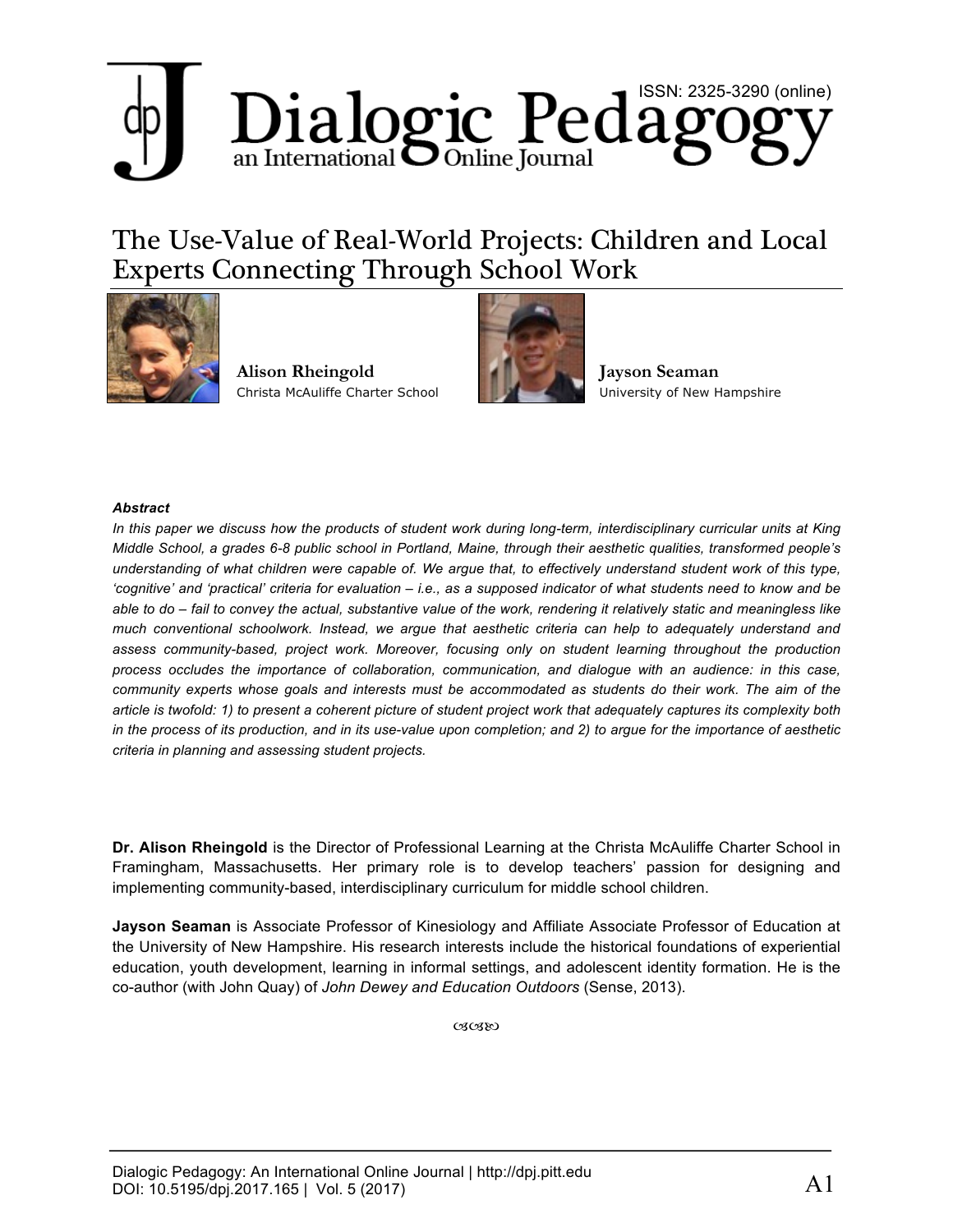# Dialogic Pedagogy

# The Use-Value of Real-World Projects: Children and Local Experts Connecting Through School Work



**Alison Rheingold** Christa McAuliffe Charter School



**Jayson Seaman** University of New Hampshire

#### *Abstract*

*In this paper we discuss how the products of student work during long-term, interdisciplinary curricular units at King Middle School, a grades 6-8 public school in Portland, Maine, through their aesthetic qualities, transformed people's understanding of what children were capable of. We argue that, to effectively understand student work of this type, 'cognitive' and 'practical' criteria for evaluation – i.e., as a supposed indicator of what students need to know and be able to do – fail to convey the actual, substantive value of the work, rendering it relatively static and meaningless like much conventional schoolwork. Instead, we argue that aesthetic criteria can help to adequately understand and assess community-based, project work. Moreover, focusing only on student learning throughout the production process occludes the importance of collaboration, communication, and dialogue with an audience: in this case, community experts whose goals and interests must be accommodated as students do their work. The aim of the article is twofold: 1) to present a coherent picture of student project work that adequately captures its complexity both in the process of its production, and in its use-value upon completion; and 2) to argue for the importance of aesthetic criteria in planning and assessing student projects.*

**Dr. Alison Rheingold** is the Director of Professional Learning at the Christa McAuliffe Charter School in Framingham, Massachusetts. Her primary role is to develop teachers' passion for designing and implementing community-based, interdisciplinary curriculum for middle school children.

**Jayson Seaman** is Associate Professor of Kinesiology and Affiliate Associate Professor of Education at the University of New Hampshire. His research interests include the historical foundations of experiential education, youth development, learning in informal settings, and adolescent identity formation. He is the co-author (with John Quay) of *John Dewey and Education Outdoors* (Sense, 2013).

030380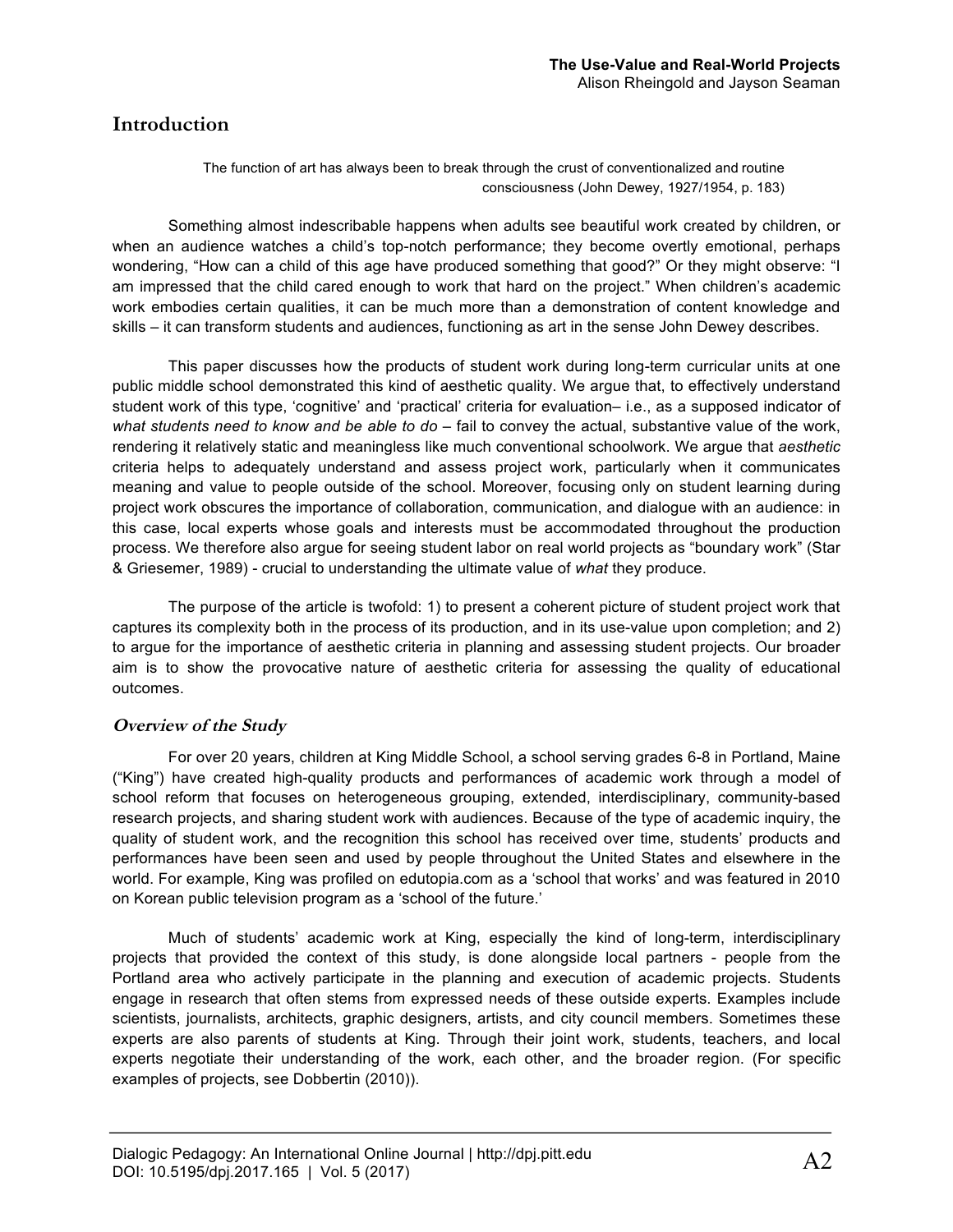## **Introduction**

The function of art has always been to break through the crust of conventionalized and routine consciousness (John Dewey, 1927/1954, p. 183)

Something almost indescribable happens when adults see beautiful work created by children, or when an audience watches a child's top-notch performance; they become overtly emotional, perhaps wondering, "How can a child of this age have produced something that good?" Or they might observe: "I am impressed that the child cared enough to work that hard on the project." When children's academic work embodies certain qualities, it can be much more than a demonstration of content knowledge and skills – it can transform students and audiences, functioning as art in the sense John Dewey describes.

This paper discusses how the products of student work during long-term curricular units at one public middle school demonstrated this kind of aesthetic quality. We argue that, to effectively understand student work of this type, 'cognitive' and 'practical' criteria for evaluation– i.e., as a supposed indicator of *what students need to know and be able to do –* fail to convey the actual, substantive value of the work, rendering it relatively static and meaningless like much conventional schoolwork. We argue that *aesthetic*  criteria helps to adequately understand and assess project work, particularly when it communicates meaning and value to people outside of the school. Moreover, focusing only on student learning during project work obscures the importance of collaboration, communication, and dialogue with an audience: in this case, local experts whose goals and interests must be accommodated throughout the production process. We therefore also argue for seeing student labor on real world projects as "boundary work" (Star & Griesemer, 1989) - crucial to understanding the ultimate value of *what* they produce.

The purpose of the article is twofold: 1) to present a coherent picture of student project work that captures its complexity both in the process of its production, and in its use-value upon completion; and 2) to argue for the importance of aesthetic criteria in planning and assessing student projects. Our broader aim is to show the provocative nature of aesthetic criteria for assessing the quality of educational outcomes.

#### **Overview of the Study**

For over 20 years, children at King Middle School, a school serving grades 6-8 in Portland, Maine ("King") have created high-quality products and performances of academic work through a model of school reform that focuses on heterogeneous grouping, extended, interdisciplinary, community-based research projects, and sharing student work with audiences. Because of the type of academic inquiry, the quality of student work, and the recognition this school has received over time, students' products and performances have been seen and used by people throughout the United States and elsewhere in the world. For example, King was profiled on edutopia.com as a 'school that works' and was featured in 2010 on Korean public television program as a 'school of the future.'

Much of students' academic work at King, especially the kind of long-term, interdisciplinary projects that provided the context of this study, is done alongside local partners - people from the Portland area who actively participate in the planning and execution of academic projects. Students engage in research that often stems from expressed needs of these outside experts. Examples include scientists, journalists, architects, graphic designers, artists, and city council members. Sometimes these experts are also parents of students at King. Through their joint work, students, teachers, and local experts negotiate their understanding of the work, each other, and the broader region. (For specific examples of projects, see Dobbertin (2010)).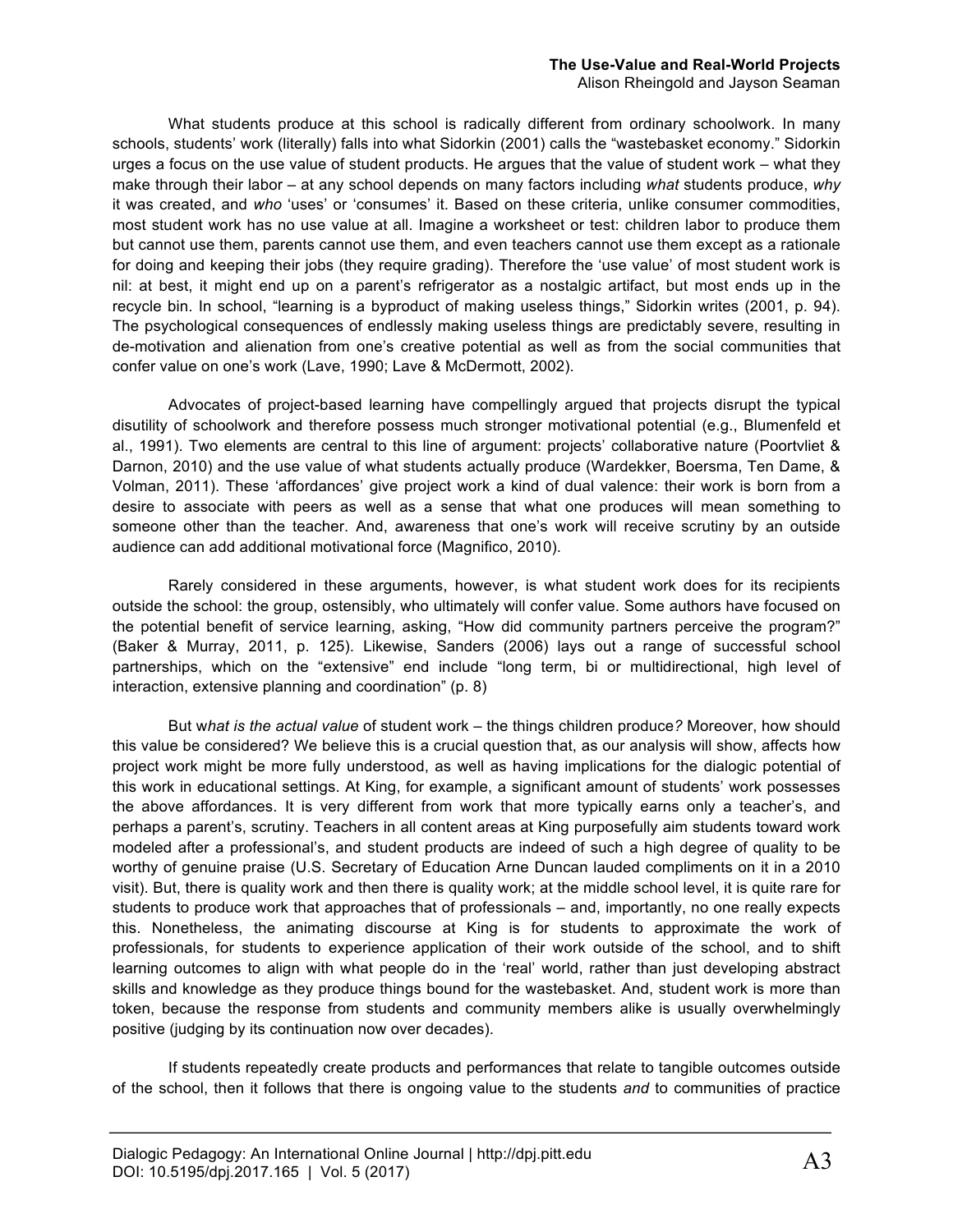# **The Use-Value and Real-World Projects**

Alison Rheingold and Jayson Seaman

What students produce at this school is radically different from ordinary schoolwork. In many schools, students' work (literally) falls into what Sidorkin (2001) calls the "wastebasket economy." Sidorkin urges a focus on the use value of student products. He argues that the value of student work – what they make through their labor – at any school depends on many factors including *what* students produce, *why*  it was created, and *who* 'uses' or 'consumes' it. Based on these criteria, unlike consumer commodities, most student work has no use value at all. Imagine a worksheet or test: children labor to produce them but cannot use them, parents cannot use them, and even teachers cannot use them except as a rationale for doing and keeping their jobs (they require grading). Therefore the 'use value' of most student work is nil: at best, it might end up on a parent's refrigerator as a nostalgic artifact, but most ends up in the recycle bin. In school, "learning is a byproduct of making useless things," Sidorkin writes (2001, p. 94). The psychological consequences of endlessly making useless things are predictably severe, resulting in de-motivation and alienation from one's creative potential as well as from the social communities that confer value on one's work (Lave, 1990; Lave & McDermott, 2002).

Advocates of project-based learning have compellingly argued that projects disrupt the typical disutility of schoolwork and therefore possess much stronger motivational potential (e.g., Blumenfeld et al., 1991). Two elements are central to this line of argument: projects' collaborative nature (Poortvliet & Darnon, 2010) and the use value of what students actually produce (Wardekker, Boersma, Ten Dame, & Volman, 2011). These 'affordances' give project work a kind of dual valence: their work is born from a desire to associate with peers as well as a sense that what one produces will mean something to someone other than the teacher. And, awareness that one's work will receive scrutiny by an outside audience can add additional motivational force (Magnifico, 2010).

Rarely considered in these arguments, however, is what student work does for its recipients outside the school: the group, ostensibly, who ultimately will confer value. Some authors have focused on the potential benefit of service learning, asking, "How did community partners perceive the program?" (Baker & Murray, 2011, p. 125). Likewise, Sanders (2006) lays out a range of successful school partnerships, which on the "extensive" end include "long term, bi or multidirectional, high level of interaction, extensive planning and coordination" (p. 8)

But w*hat is the actual value* of student work – the things children produce*?* Moreover, how should this value be considered? We believe this is a crucial question that, as our analysis will show, affects how project work might be more fully understood, as well as having implications for the dialogic potential of this work in educational settings. At King, for example, a significant amount of students' work possesses the above affordances. It is very different from work that more typically earns only a teacher's, and perhaps a parent's, scrutiny. Teachers in all content areas at King purposefully aim students toward work modeled after a professional's, and student products are indeed of such a high degree of quality to be worthy of genuine praise (U.S. Secretary of Education Arne Duncan lauded compliments on it in a 2010 visit). But, there is quality work and then there is quality work; at the middle school level, it is quite rare for students to produce work that approaches that of professionals – and, importantly, no one really expects this. Nonetheless, the animating discourse at King is for students to approximate the work of professionals, for students to experience application of their work outside of the school, and to shift learning outcomes to align with what people do in the 'real' world, rather than just developing abstract skills and knowledge as they produce things bound for the wastebasket. And, student work is more than token, because the response from students and community members alike is usually overwhelmingly positive (judging by its continuation now over decades).

If students repeatedly create products and performances that relate to tangible outcomes outside of the school, then it follows that there is ongoing value to the students *and* to communities of practice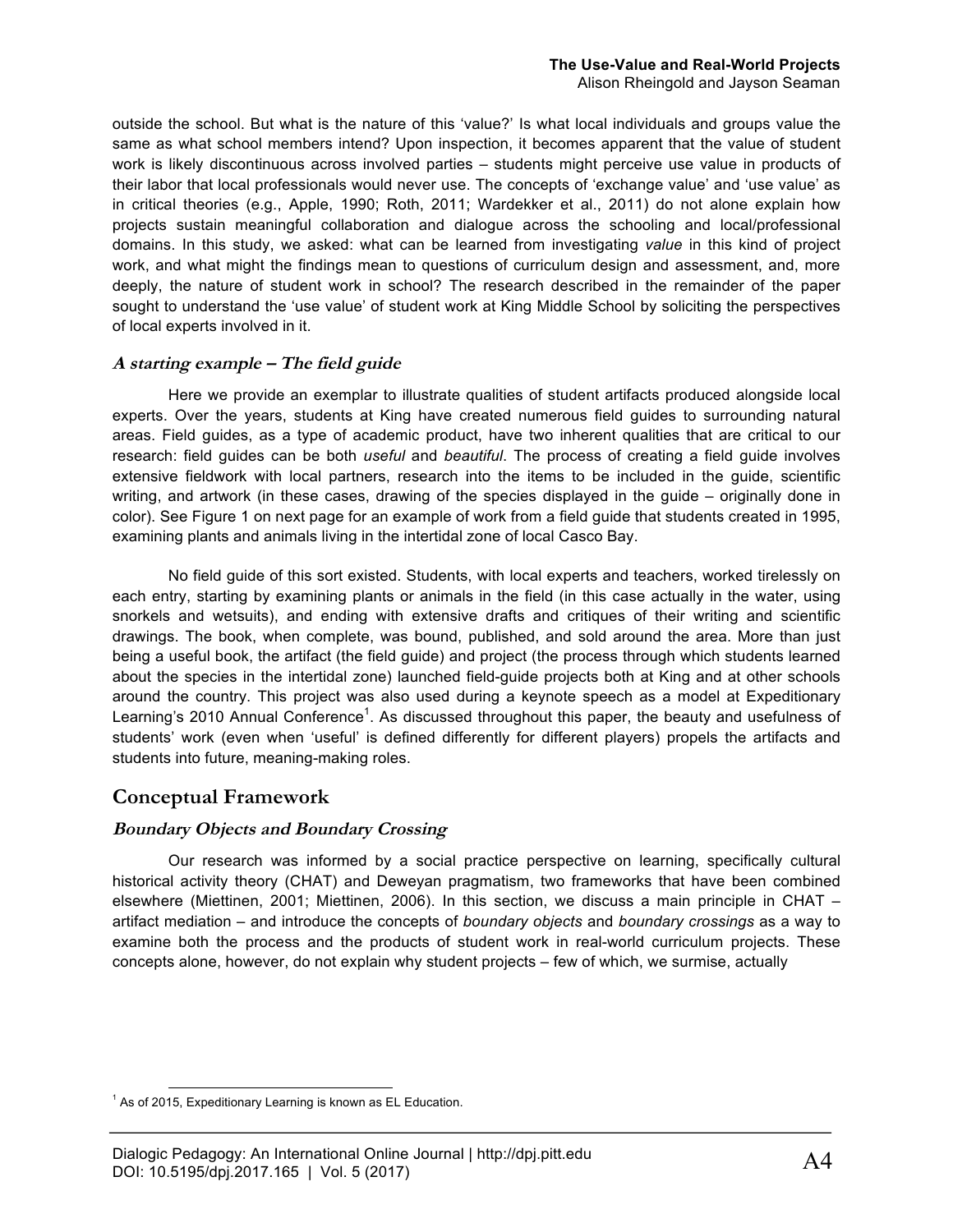outside the school. But what is the nature of this 'value?' Is what local individuals and groups value the same as what school members intend? Upon inspection, it becomes apparent that the value of student work is likely discontinuous across involved parties – students might perceive use value in products of their labor that local professionals would never use. The concepts of 'exchange value' and 'use value' as in critical theories (e.g., Apple, 1990; Roth, 2011; Wardekker et al., 2011) do not alone explain how projects sustain meaningful collaboration and dialogue across the schooling and local/professional domains. In this study, we asked: what can be learned from investigating *value* in this kind of project work, and what might the findings mean to questions of curriculum design and assessment, and, more deeply, the nature of student work in school? The research described in the remainder of the paper sought to understand the 'use value' of student work at King Middle School by soliciting the perspectives of local experts involved in it.

#### **A starting example – The field guide**

Here we provide an exemplar to illustrate qualities of student artifacts produced alongside local experts. Over the years, students at King have created numerous field guides to surrounding natural areas. Field guides, as a type of academic product, have two inherent qualities that are critical to our research: field guides can be both *useful* and *beautiful*. The process of creating a field guide involves extensive fieldwork with local partners, research into the items to be included in the guide, scientific writing, and artwork (in these cases, drawing of the species displayed in the guide – originally done in color). See Figure 1 on next page for an example of work from a field guide that students created in 1995, examining plants and animals living in the intertidal zone of local Casco Bay.

No field guide of this sort existed. Students, with local experts and teachers, worked tirelessly on each entry, starting by examining plants or animals in the field (in this case actually in the water, using snorkels and wetsuits), and ending with extensive drafts and critiques of their writing and scientific drawings. The book, when complete, was bound, published, and sold around the area. More than just being a useful book, the artifact (the field guide) and project (the process through which students learned about the species in the intertidal zone) launched field-guide projects both at King and at other schools around the country. This project was also used during a keynote speech as a model at Expeditionary Learning's 2010 Annual Conference<sup>1</sup>. As discussed throughout this paper, the beauty and usefulness of students' work (even when 'useful' is defined differently for different players) propels the artifacts and students into future, meaning-making roles.

#### **Conceptual Framework**

#### **Boundary Objects and Boundary Crossing**

Our research was informed by a social practice perspective on learning, specifically cultural historical activity theory (CHAT) and Deweyan pragmatism, two frameworks that have been combined elsewhere (Miettinen, 2001; Miettinen, 2006). In this section, we discuss a main principle in CHAT – artifact mediation – and introduce the concepts of *boundary objects* and *boundary crossings* as a way to examine both the process and the products of student work in real-world curriculum projects. These concepts alone, however, do not explain why student projects – few of which, we surmise, actually

 $1$  As of 2015, Expeditionary Learning is known as EL Education.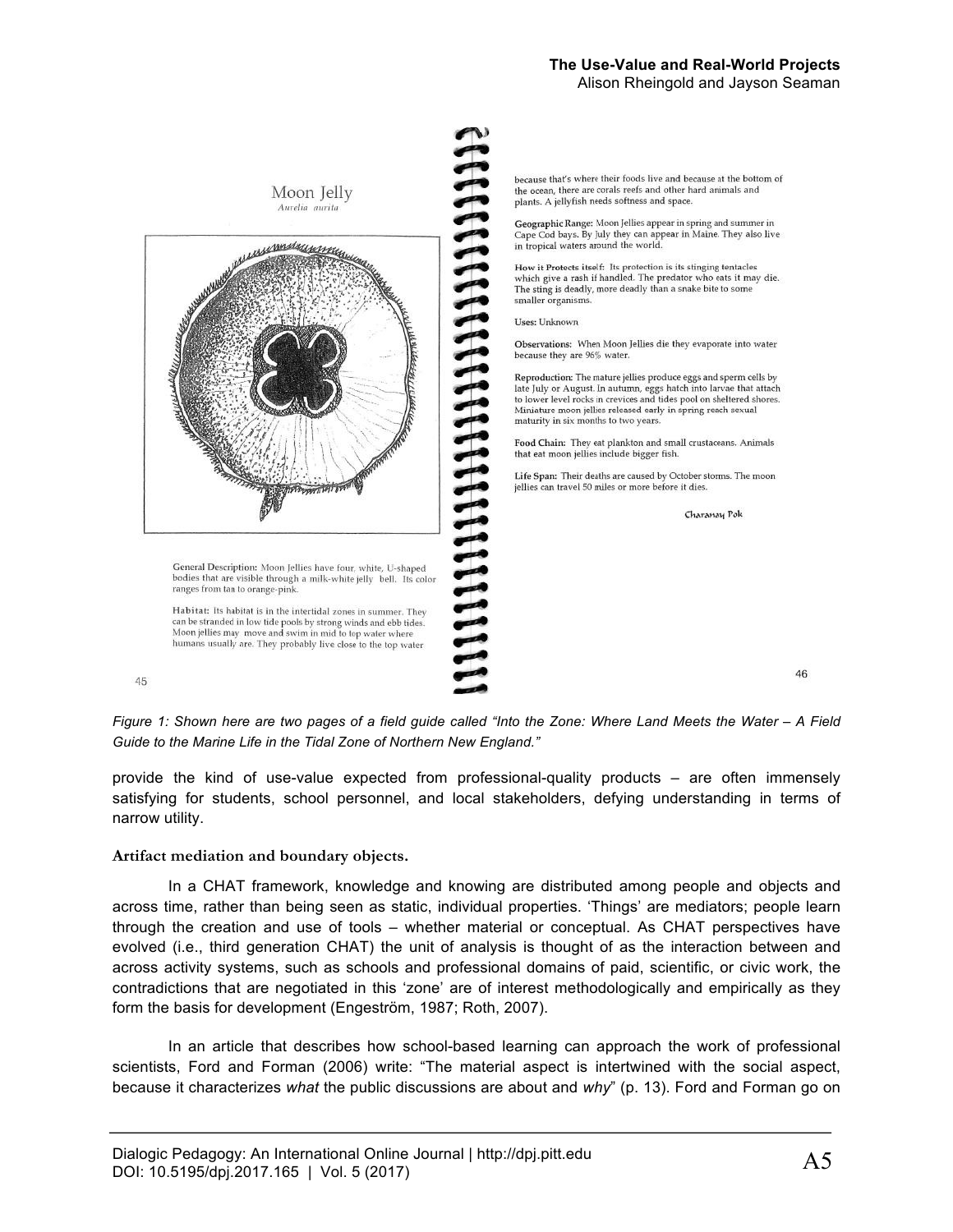#### **The Use-Value and Real-World Projects**  Alison Rheingold and Jayson Seaman



*Figure 1: Shown here are two pages of a field guide called "Into the Zone: Where Land Meets the Water – A Field Guide to the Marine Life in the Tidal Zone of Northern New England."*

provide the kind of use-value expected from professional-quality products – are often immensely satisfying for students, school personnel, and local stakeholders, defying understanding in terms of narrow utility.

#### **Artifact mediation and boundary objects.**

In a CHAT framework, knowledge and knowing are distributed among people and objects and across time, rather than being seen as static, individual properties. 'Things' are mediators; people learn through the creation and use of tools – whether material or conceptual. As CHAT perspectives have evolved (i.e., third generation CHAT) the unit of analysis is thought of as the interaction between and across activity systems, such as schools and professional domains of paid, scientific, or civic work, the contradictions that are negotiated in this 'zone' are of interest methodologically and empirically as they form the basis for development (Engeström, 1987; Roth, 2007).

In an article that describes how school-based learning can approach the work of professional scientists, Ford and Forman (2006) write: "The material aspect is intertwined with the social aspect, because it characterizes *what* the public discussions are about and *why*" (p. 13). Ford and Forman go on

46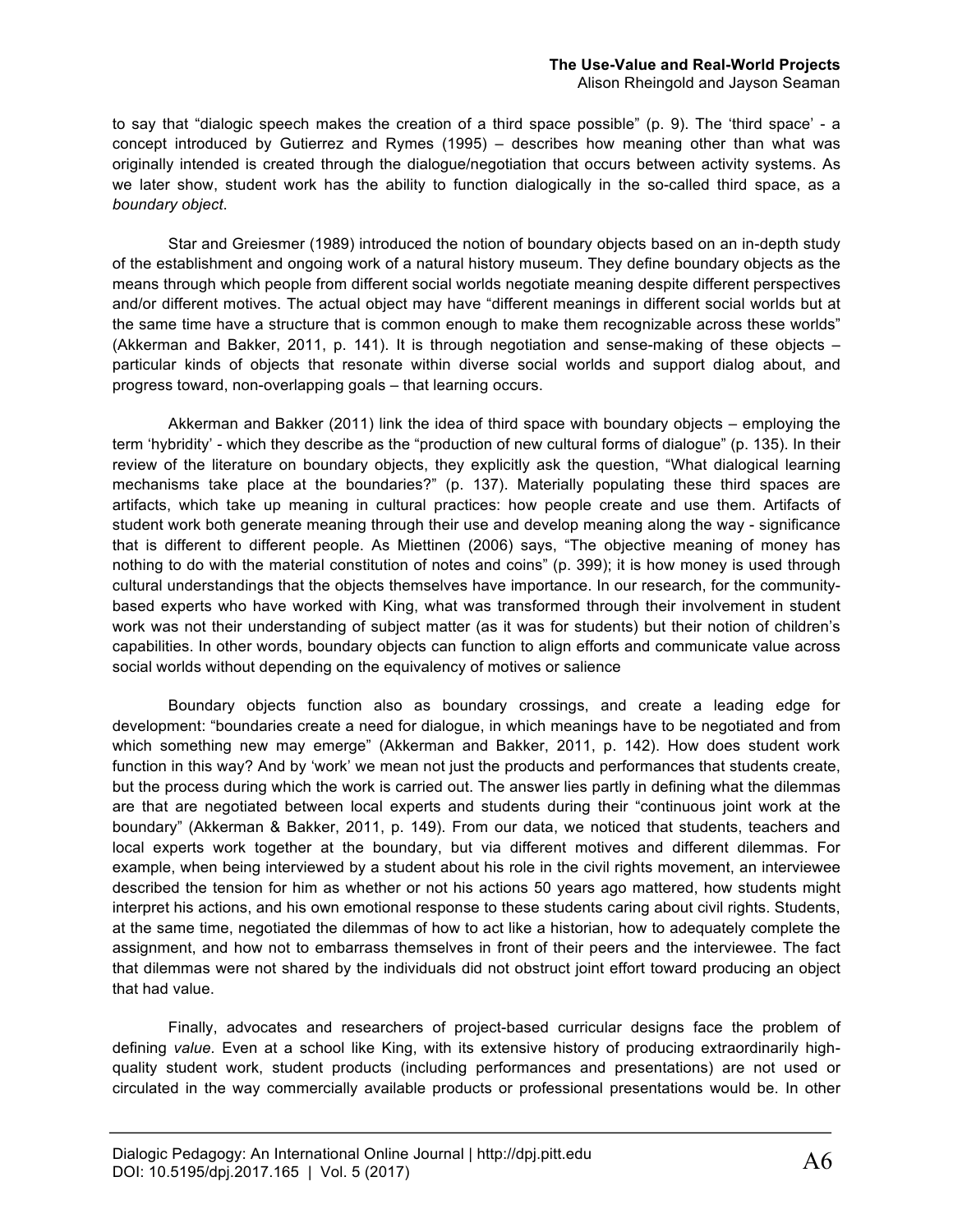to say that "dialogic speech makes the creation of a third space possible" (p. 9). The 'third space' - a concept introduced by Gutierrez and Rymes (1995) – describes how meaning other than what was originally intended is created through the dialogue/negotiation that occurs between activity systems. As we later show, student work has the ability to function dialogically in the so-called third space, as a *boundary object*.

Star and Greiesmer (1989) introduced the notion of boundary objects based on an in-depth study of the establishment and ongoing work of a natural history museum. They define boundary objects as the means through which people from different social worlds negotiate meaning despite different perspectives and/or different motives. The actual object may have "different meanings in different social worlds but at the same time have a structure that is common enough to make them recognizable across these worlds" (Akkerman and Bakker, 2011, p. 141). It is through negotiation and sense-making of these objects – particular kinds of objects that resonate within diverse social worlds and support dialog about, and progress toward, non-overlapping goals – that learning occurs.

Akkerman and Bakker (2011) link the idea of third space with boundary objects – employing the term 'hybridity' - which they describe as the "production of new cultural forms of dialogue" (p. 135). In their review of the literature on boundary objects, they explicitly ask the question, "What dialogical learning mechanisms take place at the boundaries?" (p. 137). Materially populating these third spaces are artifacts, which take up meaning in cultural practices: how people create and use them. Artifacts of student work both generate meaning through their use and develop meaning along the way - significance that is different to different people. As Miettinen (2006) says, "The objective meaning of money has nothing to do with the material constitution of notes and coins" (p. 399); it is how money is used through cultural understandings that the objects themselves have importance. In our research, for the communitybased experts who have worked with King, what was transformed through their involvement in student work was not their understanding of subject matter (as it was for students) but their notion of children's capabilities. In other words, boundary objects can function to align efforts and communicate value across social worlds without depending on the equivalency of motives or salience

Boundary objects function also as boundary crossings, and create a leading edge for development: "boundaries create a need for dialogue, in which meanings have to be negotiated and from which something new may emerge" (Akkerman and Bakker, 2011, p. 142). How does student work function in this way? And by 'work' we mean not just the products and performances that students create, but the process during which the work is carried out. The answer lies partly in defining what the dilemmas are that are negotiated between local experts and students during their "continuous joint work at the boundary" (Akkerman & Bakker, 2011, p. 149). From our data, we noticed that students, teachers and local experts work together at the boundary, but via different motives and different dilemmas. For example, when being interviewed by a student about his role in the civil rights movement, an interviewee described the tension for him as whether or not his actions 50 years ago mattered, how students might interpret his actions, and his own emotional response to these students caring about civil rights. Students, at the same time, negotiated the dilemmas of how to act like a historian, how to adequately complete the assignment, and how not to embarrass themselves in front of their peers and the interviewee. The fact that dilemmas were not shared by the individuals did not obstruct joint effort toward producing an object that had value.

Finally, advocates and researchers of project-based curricular designs face the problem of defining *value.* Even at a school like King, with its extensive history of producing extraordinarily highquality student work, student products (including performances and presentations) are not used or circulated in the way commercially available products or professional presentations would be. In other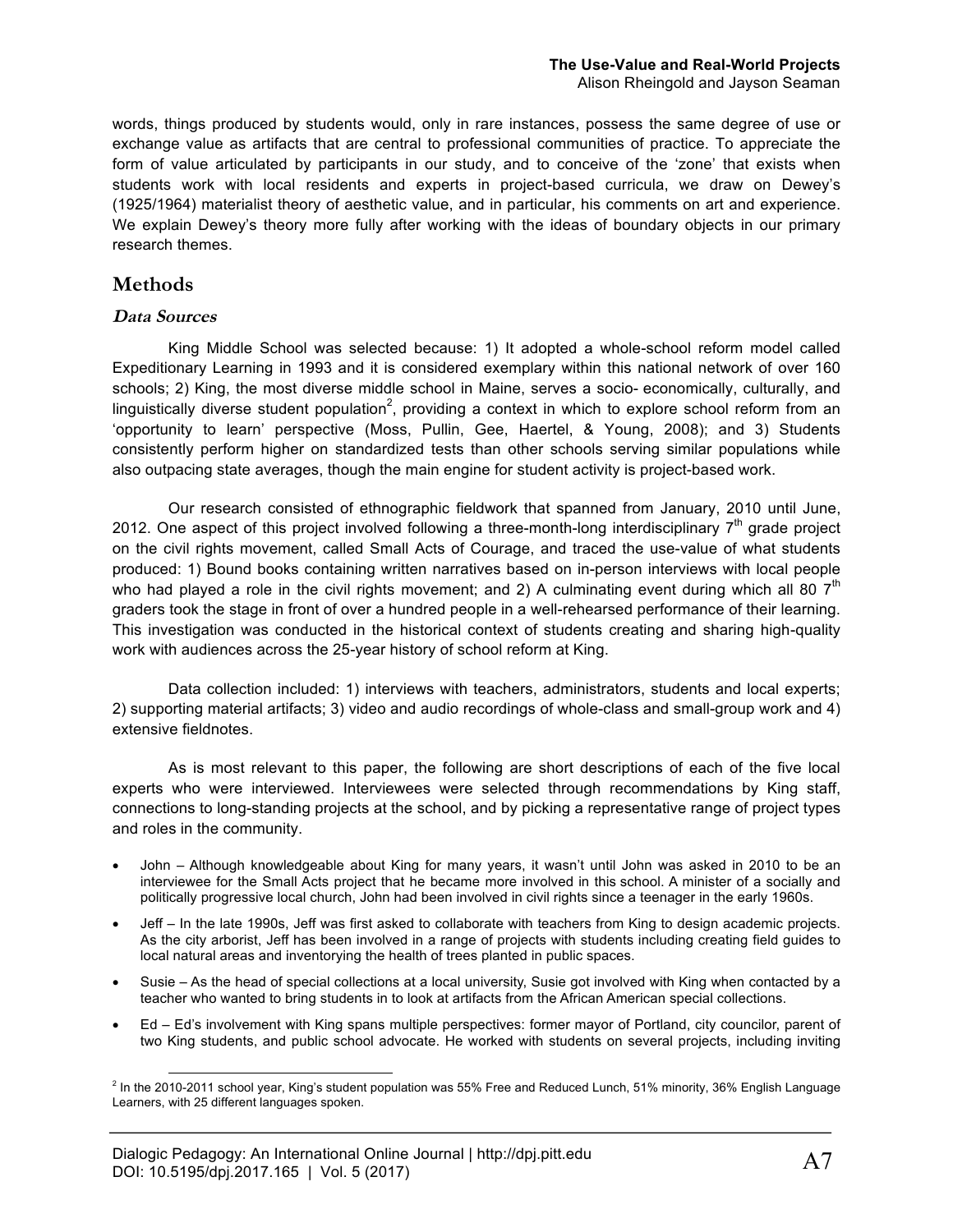words, things produced by students would, only in rare instances, possess the same degree of use or exchange value as artifacts that are central to professional communities of practice. To appreciate the form of value articulated by participants in our study, and to conceive of the 'zone' that exists when students work with local residents and experts in project-based curricula, we draw on Dewey's (1925/1964) materialist theory of aesthetic value, and in particular, his comments on art and experience. We explain Dewey's theory more fully after working with the ideas of boundary objects in our primary research themes.

## **Methods**

#### **Data Sources**

King Middle School was selected because: 1) It adopted a whole-school reform model called Expeditionary Learning in 1993 and it is considered exemplary within this national network of over 160 schools; 2) King, the most diverse middle school in Maine, serves a socio- economically, culturally, and linguistically diverse student population<sup>2</sup>, providing a context in which to explore school reform from an 'opportunity to learn' perspective (Moss, Pullin, Gee, Haertel, & Young, 2008); and 3) Students consistently perform higher on standardized tests than other schools serving similar populations while also outpacing state averages, though the main engine for student activity is project-based work.

Our research consisted of ethnographic fieldwork that spanned from January, 2010 until June, 2012. One aspect of this project involved following a three-month-long interdisciplinary  $7<sup>th</sup>$  grade project on the civil rights movement, called Small Acts of Courage, and traced the use-value of what students produced: 1) Bound books containing written narratives based on in-person interviews with local people who had played a role in the civil rights movement; and 2) A culminating event during which all 80  $7<sup>th</sup>$ graders took the stage in front of over a hundred people in a well-rehearsed performance of their learning. This investigation was conducted in the historical context of students creating and sharing high-quality work with audiences across the 25-year history of school reform at King.

Data collection included: 1) interviews with teachers, administrators, students and local experts; 2) supporting material artifacts; 3) video and audio recordings of whole-class and small-group work and 4) extensive fieldnotes.

As is most relevant to this paper, the following are short descriptions of each of the five local experts who were interviewed. Interviewees were selected through recommendations by King staff, connections to long-standing projects at the school, and by picking a representative range of project types and roles in the community.

- John Although knowledgeable about King for many years, it wasn't until John was asked in 2010 to be an interviewee for the Small Acts project that he became more involved in this school. A minister of a socially and politically progressive local church, John had been involved in civil rights since a teenager in the early 1960s.
- Jeff In the late 1990s, Jeff was first asked to collaborate with teachers from King to design academic projects. As the city arborist, Jeff has been involved in a range of projects with students including creating field guides to local natural areas and inventorying the health of trees planted in public spaces.
- Susie As the head of special collections at a local university, Susie got involved with King when contacted by a teacher who wanted to bring students in to look at artifacts from the African American special collections.
- Ed Ed's involvement with King spans multiple perspectives: former mayor of Portland, city councilor, parent of two King students, and public school advocate. He worked with students on several projects, including inviting

 $<sup>2</sup>$  In the 2010-2011 school year, King's student population was 55% Free and Reduced Lunch, 51% minority, 36% English Language</sup> Learners, with 25 different languages spoken.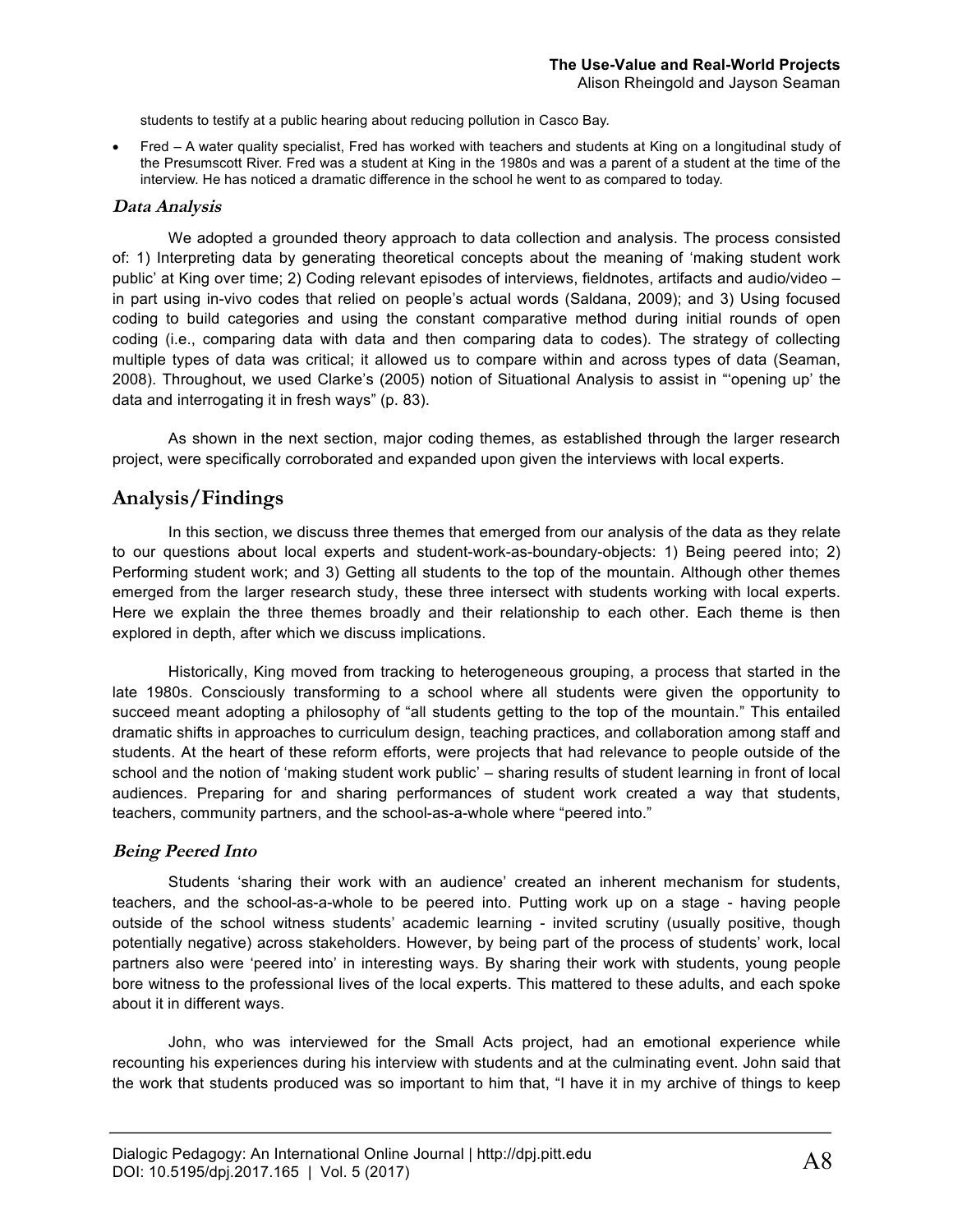students to testify at a public hearing about reducing pollution in Casco Bay.

• Fred – A water quality specialist, Fred has worked with teachers and students at King on a longitudinal study of the Presumscott River. Fred was a student at King in the 1980s and was a parent of a student at the time of the interview. He has noticed a dramatic difference in the school he went to as compared to today.

#### **Data Analysis**

We adopted a grounded theory approach to data collection and analysis. The process consisted of: 1) Interpreting data by generating theoretical concepts about the meaning of 'making student work public' at King over time; 2) Coding relevant episodes of interviews, fieldnotes, artifacts and audio/video – in part using in-vivo codes that relied on people's actual words (Saldana, 2009); and 3) Using focused coding to build categories and using the constant comparative method during initial rounds of open coding (i.e., comparing data with data and then comparing data to codes). The strategy of collecting multiple types of data was critical; it allowed us to compare within and across types of data (Seaman, 2008). Throughout, we used Clarke's (2005) notion of Situational Analysis to assist in "'opening up' the data and interrogating it in fresh ways" (p. 83).

As shown in the next section, major coding themes, as established through the larger research project, were specifically corroborated and expanded upon given the interviews with local experts.

#### **Analysis/Findings**

In this section, we discuss three themes that emerged from our analysis of the data as they relate to our questions about local experts and student-work-as-boundary-objects: 1) Being peered into; 2) Performing student work; and 3) Getting all students to the top of the mountain. Although other themes emerged from the larger research study, these three intersect with students working with local experts. Here we explain the three themes broadly and their relationship to each other. Each theme is then explored in depth, after which we discuss implications.

Historically, King moved from tracking to heterogeneous grouping, a process that started in the late 1980s. Consciously transforming to a school where all students were given the opportunity to succeed meant adopting a philosophy of "all students getting to the top of the mountain." This entailed dramatic shifts in approaches to curriculum design, teaching practices, and collaboration among staff and students. At the heart of these reform efforts, were projects that had relevance to people outside of the school and the notion of 'making student work public' – sharing results of student learning in front of local audiences. Preparing for and sharing performances of student work created a way that students, teachers, community partners, and the school-as-a-whole where "peered into."

#### **Being Peered Into**

Students 'sharing their work with an audience' created an inherent mechanism for students, teachers, and the school-as-a-whole to be peered into. Putting work up on a stage - having people outside of the school witness students' academic learning - invited scrutiny (usually positive, though potentially negative) across stakeholders. However, by being part of the process of students' work, local partners also were 'peered into' in interesting ways. By sharing their work with students, young people bore witness to the professional lives of the local experts. This mattered to these adults, and each spoke about it in different ways.

John, who was interviewed for the Small Acts project, had an emotional experience while recounting his experiences during his interview with students and at the culminating event. John said that the work that students produced was so important to him that, "I have it in my archive of things to keep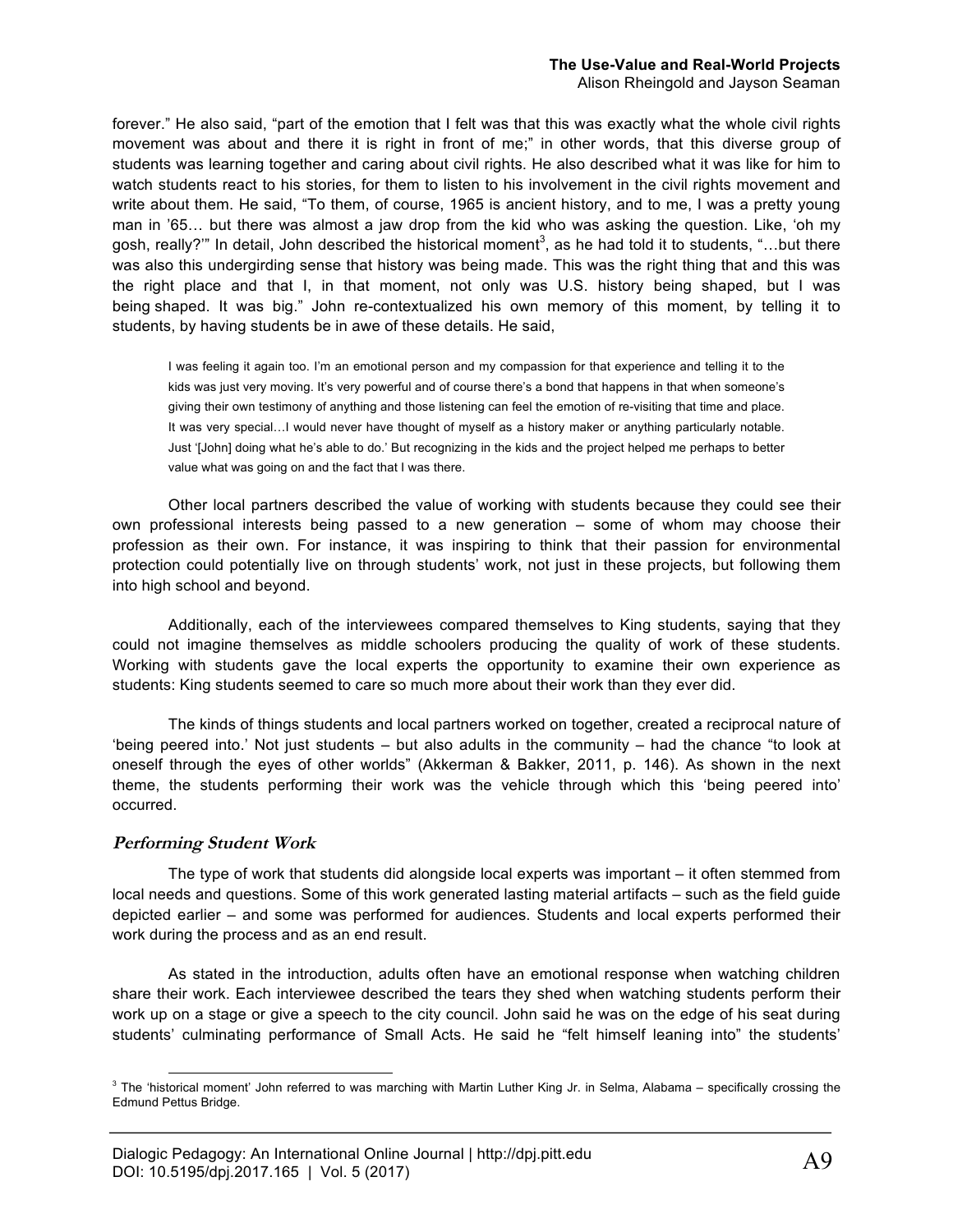#### **The Use-Value and Real-World Projects**

Alison Rheingold and Jayson Seaman

forever." He also said, "part of the emotion that I felt was that this was exactly what the whole civil rights movement was about and there it is right in front of me;" in other words, that this diverse group of students was learning together and caring about civil rights. He also described what it was like for him to watch students react to his stories, for them to listen to his involvement in the civil rights movement and write about them. He said, "To them, of course, 1965 is ancient history, and to me, I was a pretty young man in '65… but there was almost a jaw drop from the kid who was asking the question. Like, 'oh my gosh, really?'" In detail, John described the historical moment $^3$ , as he had told it to students, "…but there was also this undergirding sense that history was being made. This was the right thing that and this was the right place and that I, in that moment, not only was U.S. history being shaped, but I was being shaped. It was big." John re-contextualized his own memory of this moment, by telling it to students, by having students be in awe of these details. He said,

I was feeling it again too. I'm an emotional person and my compassion for that experience and telling it to the kids was just very moving. It's very powerful and of course there's a bond that happens in that when someone's giving their own testimony of anything and those listening can feel the emotion of re-visiting that time and place. It was very special...I would never have thought of myself as a history maker or anything particularly notable. Just '[John] doing what he's able to do.' But recognizing in the kids and the project helped me perhaps to better value what was going on and the fact that I was there.

Other local partners described the value of working with students because they could see their own professional interests being passed to a new generation – some of whom may choose their profession as their own. For instance, it was inspiring to think that their passion for environmental protection could potentially live on through students' work, not just in these projects, but following them into high school and beyond.

Additionally, each of the interviewees compared themselves to King students, saying that they could not imagine themselves as middle schoolers producing the quality of work of these students. Working with students gave the local experts the opportunity to examine their own experience as students: King students seemed to care so much more about their work than they ever did.

The kinds of things students and local partners worked on together, created a reciprocal nature of 'being peered into.' Not just students – but also adults in the community – had the chance "to look at oneself through the eyes of other worlds" (Akkerman & Bakker, 2011, p. 146). As shown in the next theme, the students performing their work was the vehicle through which this 'being peered into' occurred.

#### **Performing Student Work**

The type of work that students did alongside local experts was important – it often stemmed from local needs and questions. Some of this work generated lasting material artifacts – such as the field guide depicted earlier – and some was performed for audiences. Students and local experts performed their work during the process and as an end result.

As stated in the introduction, adults often have an emotional response when watching children share their work. Each interviewee described the tears they shed when watching students perform their work up on a stage or give a speech to the city council. John said he was on the edge of his seat during students' culminating performance of Small Acts. He said he "felt himself leaning into" the students'

 $3$  The 'historical moment' John referred to was marching with Martin Luther King Jr. in Selma, Alabama – specifically crossing the Edmund Pettus Bridge.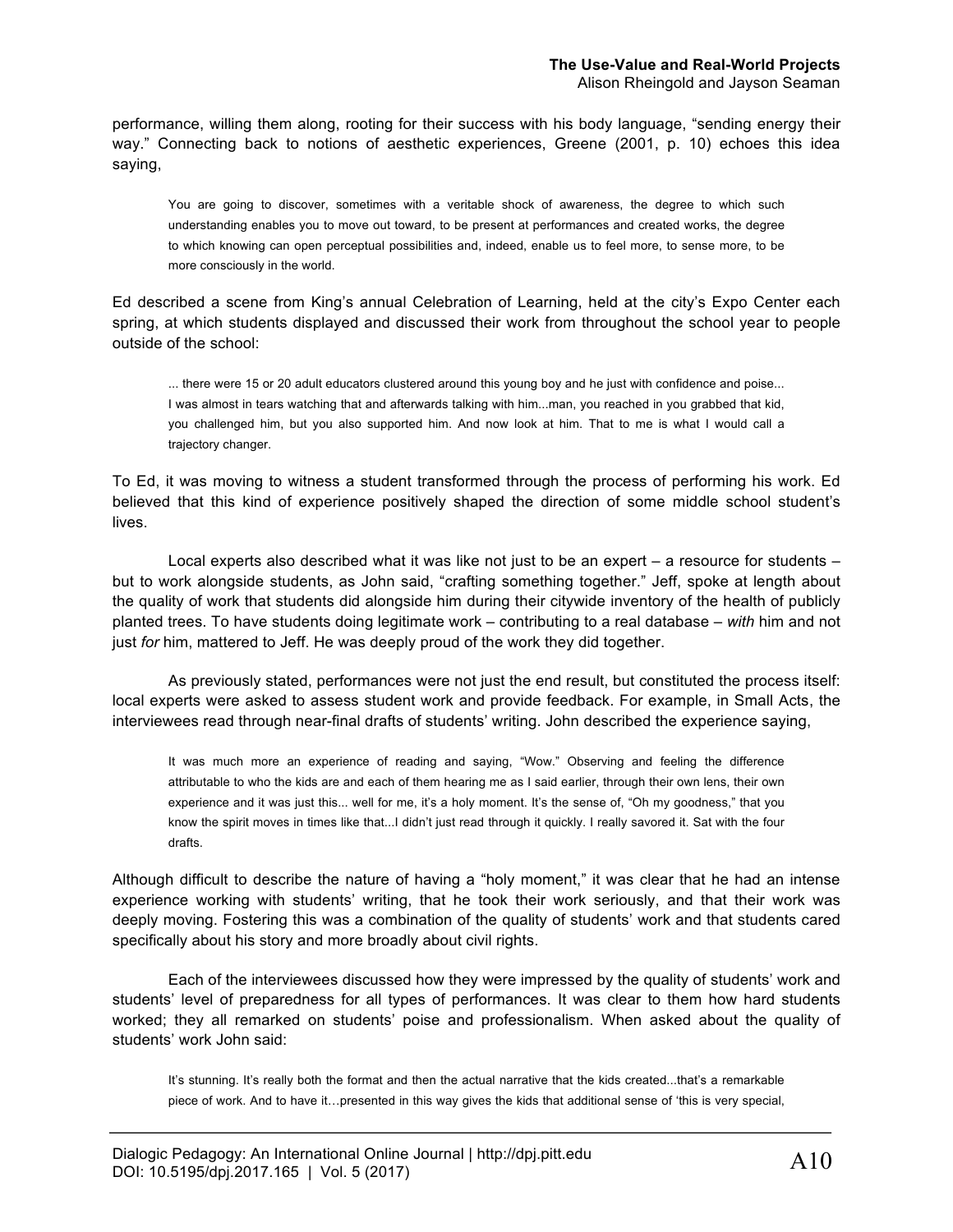performance, willing them along, rooting for their success with his body language, "sending energy their way." Connecting back to notions of aesthetic experiences, Greene (2001, p. 10) echoes this idea saying,

You are going to discover, sometimes with a veritable shock of awareness, the degree to which such understanding enables you to move out toward, to be present at performances and created works, the degree to which knowing can open perceptual possibilities and, indeed, enable us to feel more, to sense more, to be more consciously in the world.

Ed described a scene from King's annual Celebration of Learning, held at the city's Expo Center each spring, at which students displayed and discussed their work from throughout the school year to people outside of the school:

... there were 15 or 20 adult educators clustered around this young boy and he just with confidence and poise... I was almost in tears watching that and afterwards talking with him...man, you reached in you grabbed that kid, you challenged him, but you also supported him. And now look at him. That to me is what I would call a trajectory changer.

To Ed, it was moving to witness a student transformed through the process of performing his work. Ed believed that this kind of experience positively shaped the direction of some middle school student's lives.

Local experts also described what it was like not just to be an expert – a resource for students – but to work alongside students, as John said, "crafting something together." Jeff, spoke at length about the quality of work that students did alongside him during their citywide inventory of the health of publicly planted trees. To have students doing legitimate work – contributing to a real database – *with* him and not just *for* him, mattered to Jeff. He was deeply proud of the work they did together.

As previously stated, performances were not just the end result, but constituted the process itself: local experts were asked to assess student work and provide feedback. For example, in Small Acts, the interviewees read through near-final drafts of students' writing. John described the experience saying,

It was much more an experience of reading and saying, "Wow." Observing and feeling the difference attributable to who the kids are and each of them hearing me as I said earlier, through their own lens, their own experience and it was just this... well for me, it's a holy moment. It's the sense of, "Oh my goodness," that you know the spirit moves in times like that...I didn't just read through it quickly. I really savored it. Sat with the four drafts.

Although difficult to describe the nature of having a "holy moment," it was clear that he had an intense experience working with students' writing, that he took their work seriously, and that their work was deeply moving. Fostering this was a combination of the quality of students' work and that students cared specifically about his story and more broadly about civil rights.

Each of the interviewees discussed how they were impressed by the quality of students' work and students' level of preparedness for all types of performances. It was clear to them how hard students worked; they all remarked on students' poise and professionalism. When asked about the quality of students' work John said:

It's stunning. It's really both the format and then the actual narrative that the kids created...that's a remarkable piece of work. And to have it…presented in this way gives the kids that additional sense of 'this is very special,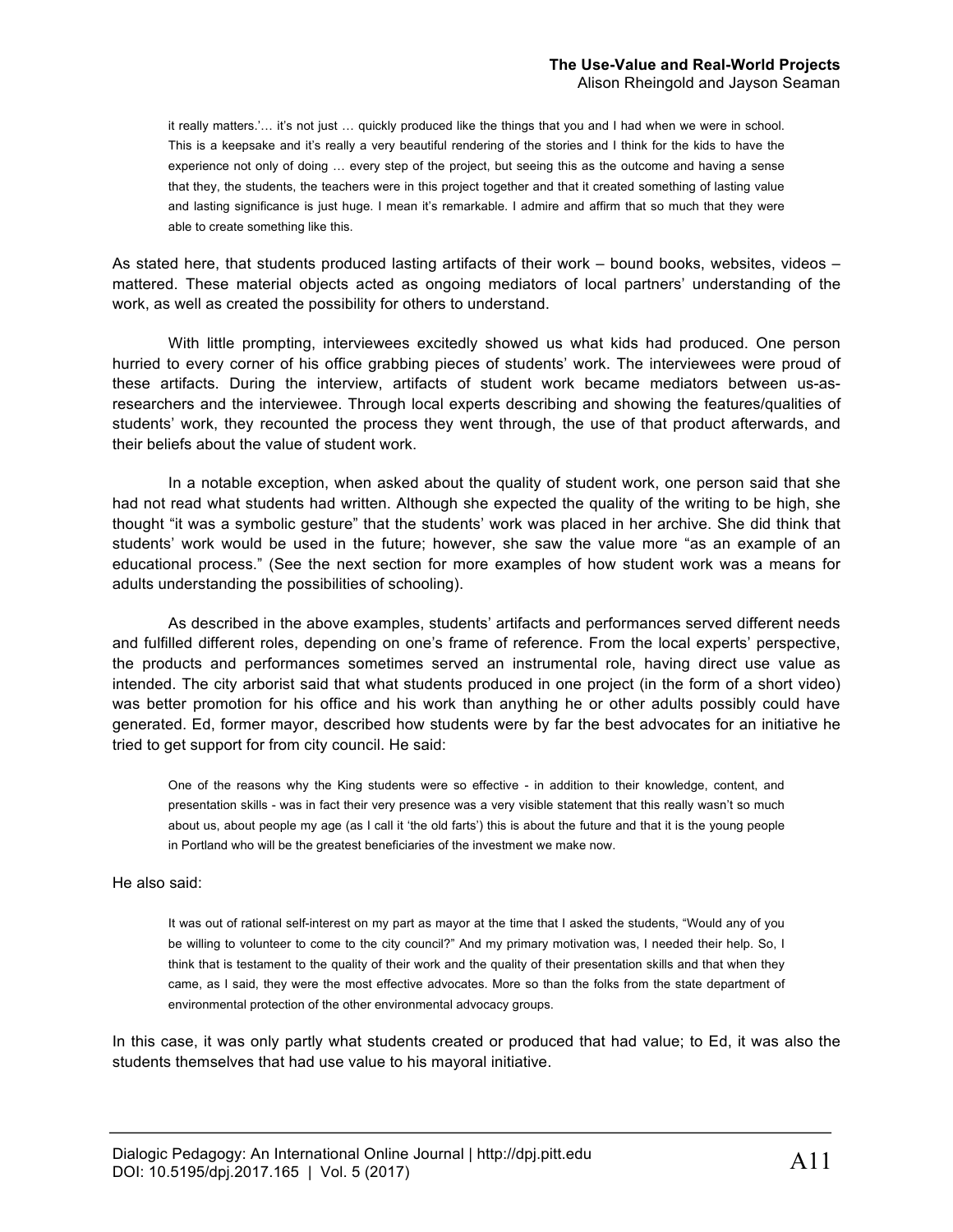it really matters.'… it's not just … quickly produced like the things that you and I had when we were in school. This is a keepsake and it's really a very beautiful rendering of the stories and I think for the kids to have the experience not only of doing … every step of the project, but seeing this as the outcome and having a sense that they, the students, the teachers were in this project together and that it created something of lasting value and lasting significance is just huge. I mean it's remarkable. I admire and affirm that so much that they were able to create something like this.

As stated here, that students produced lasting artifacts of their work – bound books, websites, videos – mattered. These material objects acted as ongoing mediators of local partners' understanding of the work, as well as created the possibility for others to understand.

With little prompting, interviewees excitedly showed us what kids had produced. One person hurried to every corner of his office grabbing pieces of students' work. The interviewees were proud of these artifacts. During the interview, artifacts of student work became mediators between us-asresearchers and the interviewee. Through local experts describing and showing the features/qualities of students' work, they recounted the process they went through, the use of that product afterwards, and their beliefs about the value of student work.

In a notable exception, when asked about the quality of student work, one person said that she had not read what students had written. Although she expected the quality of the writing to be high, she thought "it was a symbolic gesture" that the students' work was placed in her archive. She did think that students' work would be used in the future; however, she saw the value more "as an example of an educational process." (See the next section for more examples of how student work was a means for adults understanding the possibilities of schooling).

As described in the above examples, students' artifacts and performances served different needs and fulfilled different roles, depending on one's frame of reference. From the local experts' perspective, the products and performances sometimes served an instrumental role, having direct use value as intended. The city arborist said that what students produced in one project (in the form of a short video) was better promotion for his office and his work than anything he or other adults possibly could have generated. Ed, former mayor, described how students were by far the best advocates for an initiative he tried to get support for from city council. He said:

One of the reasons why the King students were so effective - in addition to their knowledge, content, and presentation skills - was in fact their very presence was a very visible statement that this really wasn't so much about us, about people my age (as I call it 'the old farts') this is about the future and that it is the young people in Portland who will be the greatest beneficiaries of the investment we make now.

#### He also said:

It was out of rational self-interest on my part as mayor at the time that I asked the students, "Would any of you be willing to volunteer to come to the city council?" And my primary motivation was, I needed their help. So, I think that is testament to the quality of their work and the quality of their presentation skills and that when they came, as I said, they were the most effective advocates. More so than the folks from the state department of environmental protection of the other environmental advocacy groups.

In this case, it was only partly what students created or produced that had value; to Ed, it was also the students themselves that had use value to his mayoral initiative.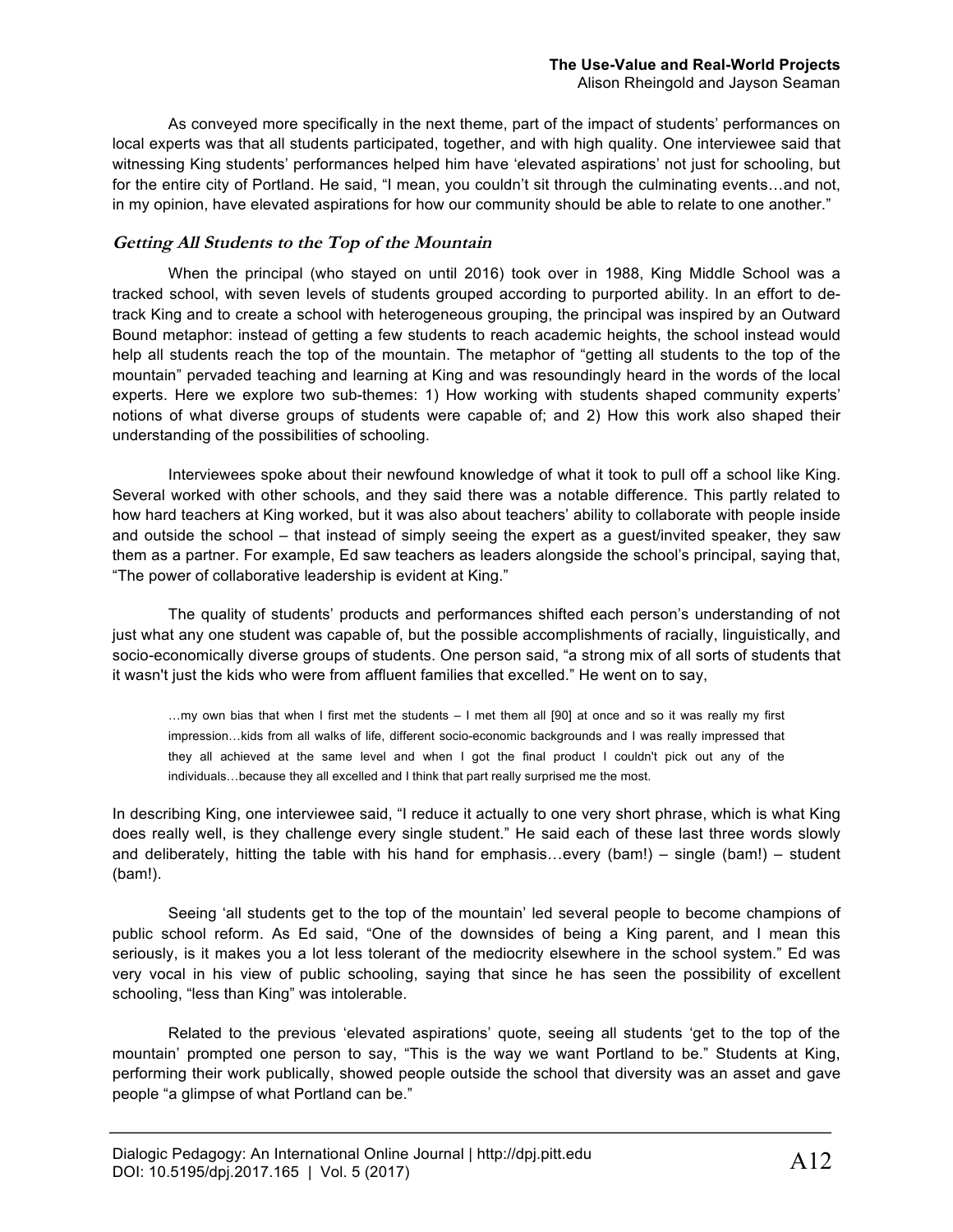As conveyed more specifically in the next theme, part of the impact of students' performances on local experts was that all students participated, together, and with high quality. One interviewee said that witnessing King students' performances helped him have 'elevated aspirations' not just for schooling, but for the entire city of Portland. He said, "I mean, you couldn't sit through the culminating events…and not, in my opinion, have elevated aspirations for how our community should be able to relate to one another."

#### **Getting All Students to the Top of the Mountain**

When the principal (who stayed on until 2016) took over in 1988, King Middle School was a tracked school, with seven levels of students grouped according to purported ability. In an effort to detrack King and to create a school with heterogeneous grouping, the principal was inspired by an Outward Bound metaphor: instead of getting a few students to reach academic heights, the school instead would help all students reach the top of the mountain. The metaphor of "getting all students to the top of the mountain" pervaded teaching and learning at King and was resoundingly heard in the words of the local experts. Here we explore two sub-themes: 1) How working with students shaped community experts' notions of what diverse groups of students were capable of; and 2) How this work also shaped their understanding of the possibilities of schooling.

Interviewees spoke about their newfound knowledge of what it took to pull off a school like King. Several worked with other schools, and they said there was a notable difference. This partly related to how hard teachers at King worked, but it was also about teachers' ability to collaborate with people inside and outside the school – that instead of simply seeing the expert as a guest/invited speaker, they saw them as a partner. For example, Ed saw teachers as leaders alongside the school's principal, saying that, "The power of collaborative leadership is evident at King."

The quality of students' products and performances shifted each person's understanding of not just what any one student was capable of, but the possible accomplishments of racially, linguistically, and socio-economically diverse groups of students. One person said, "a strong mix of all sorts of students that it wasn't just the kids who were from affluent families that excelled." He went on to say,

…my own bias that when I first met the students – I met them all [90] at once and so it was really my first impression…kids from all walks of life, different socio-economic backgrounds and I was really impressed that they all achieved at the same level and when I got the final product I couldn't pick out any of the individuals…because they all excelled and I think that part really surprised me the most.

In describing King, one interviewee said, "I reduce it actually to one very short phrase, which is what King does really well, is they challenge every single student." He said each of these last three words slowly and deliberately, hitting the table with his hand for emphasis…every (bam!) – single (bam!) – student (bam!).

Seeing 'all students get to the top of the mountain' led several people to become champions of public school reform. As Ed said, "One of the downsides of being a King parent, and I mean this seriously, is it makes you a lot less tolerant of the mediocrity elsewhere in the school system." Ed was very vocal in his view of public schooling, saying that since he has seen the possibility of excellent schooling, "less than King" was intolerable.

Related to the previous 'elevated aspirations' quote, seeing all students 'get to the top of the mountain' prompted one person to say, "This is the way we want Portland to be." Students at King, performing their work publically, showed people outside the school that diversity was an asset and gave people "a glimpse of what Portland can be."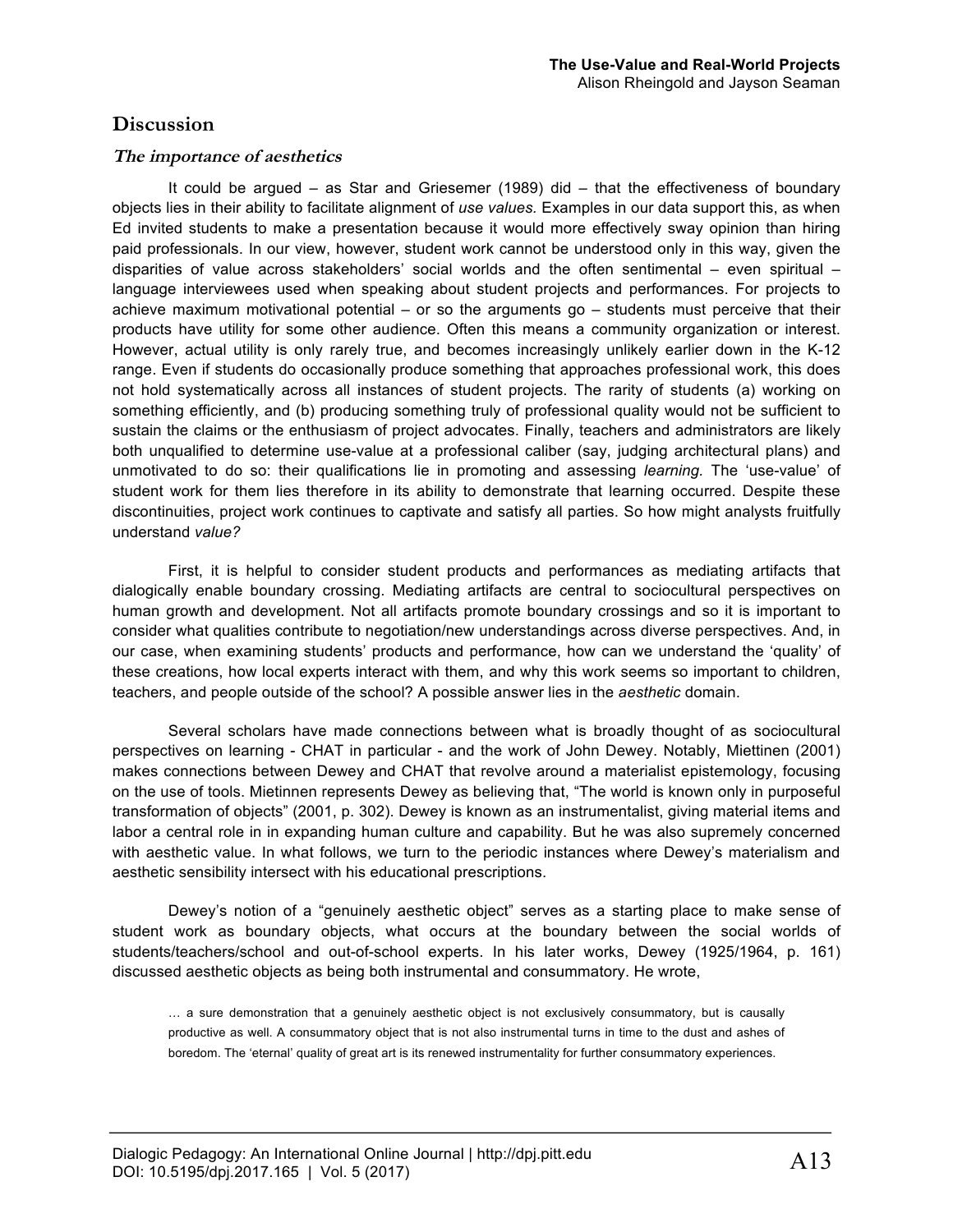#### **Discussion**

#### **The importance of aesthetics**

It could be argued – as Star and Griesemer (1989) did – that the effectiveness of boundary objects lies in their ability to facilitate alignment of *use values.* Examples in our data support this, as when Ed invited students to make a presentation because it would more effectively sway opinion than hiring paid professionals. In our view, however, student work cannot be understood only in this way, given the disparities of value across stakeholders' social worlds and the often sentimental – even spiritual – language interviewees used when speaking about student projects and performances. For projects to achieve maximum motivational potential – or so the arguments go – students must perceive that their products have utility for some other audience. Often this means a community organization or interest. However, actual utility is only rarely true, and becomes increasingly unlikely earlier down in the K-12 range. Even if students do occasionally produce something that approaches professional work, this does not hold systematically across all instances of student projects. The rarity of students (a) working on something efficiently, and (b) producing something truly of professional quality would not be sufficient to sustain the claims or the enthusiasm of project advocates. Finally, teachers and administrators are likely both unqualified to determine use-value at a professional caliber (say, judging architectural plans) and unmotivated to do so: their qualifications lie in promoting and assessing *learning.* The 'use-value' of student work for them lies therefore in its ability to demonstrate that learning occurred. Despite these discontinuities, project work continues to captivate and satisfy all parties. So how might analysts fruitfully understand *value?*

First, it is helpful to consider student products and performances as mediating artifacts that dialogically enable boundary crossing. Mediating artifacts are central to sociocultural perspectives on human growth and development. Not all artifacts promote boundary crossings and so it is important to consider what qualities contribute to negotiation/new understandings across diverse perspectives. And, in our case, when examining students' products and performance, how can we understand the 'quality' of these creations, how local experts interact with them, and why this work seems so important to children, teachers, and people outside of the school? A possible answer lies in the *aesthetic* domain.

Several scholars have made connections between what is broadly thought of as sociocultural perspectives on learning - CHAT in particular - and the work of John Dewey. Notably, Miettinen (2001) makes connections between Dewey and CHAT that revolve around a materialist epistemology, focusing on the use of tools. Mietinnen represents Dewey as believing that, "The world is known only in purposeful transformation of objects" (2001, p. 302). Dewey is known as an instrumentalist, giving material items and labor a central role in in expanding human culture and capability. But he was also supremely concerned with aesthetic value. In what follows, we turn to the periodic instances where Dewey's materialism and aesthetic sensibility intersect with his educational prescriptions.

Dewey's notion of a "genuinely aesthetic object" serves as a starting place to make sense of student work as boundary objects, what occurs at the boundary between the social worlds of students/teachers/school and out-of-school experts. In his later works, Dewey (1925/1964, p. 161) discussed aesthetic objects as being both instrumental and consummatory. He wrote,

… a sure demonstration that a genuinely aesthetic object is not exclusively consummatory, but is causally productive as well. A consummatory object that is not also instrumental turns in time to the dust and ashes of boredom. The 'eternal' quality of great art is its renewed instrumentality for further consummatory experiences.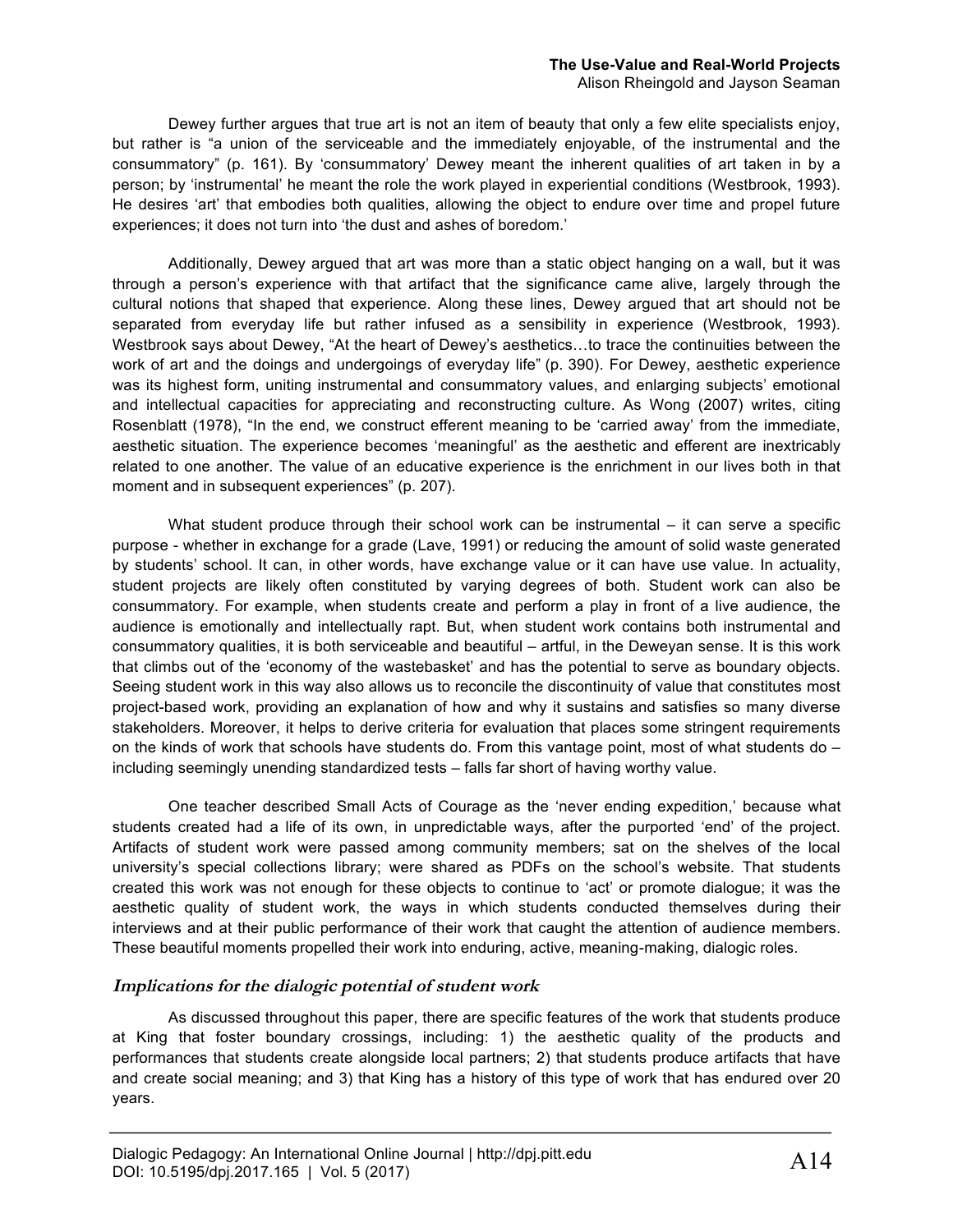Dewey further argues that true art is not an item of beauty that only a few elite specialists enjoy, but rather is "a union of the serviceable and the immediately enjoyable, of the instrumental and the consummatory" (p. 161). By 'consummatory' Dewey meant the inherent qualities of art taken in by a person; by 'instrumental' he meant the role the work played in experiential conditions (Westbrook, 1993). He desires 'art' that embodies both qualities, allowing the object to endure over time and propel future experiences; it does not turn into 'the dust and ashes of boredom.'

Additionally, Dewey argued that art was more than a static object hanging on a wall, but it was through a person's experience with that artifact that the significance came alive, largely through the cultural notions that shaped that experience. Along these lines, Dewey argued that art should not be separated from everyday life but rather infused as a sensibility in experience (Westbrook, 1993). Westbrook says about Dewey, "At the heart of Dewey's aesthetics…to trace the continuities between the work of art and the doings and undergoings of everyday life" (p. 390). For Dewey, aesthetic experience was its highest form, uniting instrumental and consummatory values, and enlarging subjects' emotional and intellectual capacities for appreciating and reconstructing culture. As Wong (2007) writes, citing Rosenblatt (1978), "In the end, we construct efferent meaning to be 'carried away' from the immediate, aesthetic situation. The experience becomes 'meaningful' as the aesthetic and efferent are inextricably related to one another. The value of an educative experience is the enrichment in our lives both in that moment and in subsequent experiences" (p. 207).

What student produce through their school work can be instrumental – it can serve a specific purpose - whether in exchange for a grade (Lave, 1991) or reducing the amount of solid waste generated by students' school. It can, in other words, have exchange value or it can have use value. In actuality, student projects are likely often constituted by varying degrees of both. Student work can also be consummatory. For example, when students create and perform a play in front of a live audience, the audience is emotionally and intellectually rapt. But, when student work contains both instrumental and consummatory qualities, it is both serviceable and beautiful – artful, in the Deweyan sense. It is this work that climbs out of the 'economy of the wastebasket' and has the potential to serve as boundary objects. Seeing student work in this way also allows us to reconcile the discontinuity of value that constitutes most project-based work, providing an explanation of how and why it sustains and satisfies so many diverse stakeholders. Moreover, it helps to derive criteria for evaluation that places some stringent requirements on the kinds of work that schools have students do. From this vantage point, most of what students do – including seemingly unending standardized tests – falls far short of having worthy value.

One teacher described Small Acts of Courage as the 'never ending expedition,' because what students created had a life of its own, in unpredictable ways, after the purported 'end' of the project. Artifacts of student work were passed among community members; sat on the shelves of the local university's special collections library; were shared as PDFs on the school's website. That students created this work was not enough for these objects to continue to 'act' or promote dialogue; it was the aesthetic quality of student work, the ways in which students conducted themselves during their interviews and at their public performance of their work that caught the attention of audience members. These beautiful moments propelled their work into enduring, active, meaning-making, dialogic roles.

#### **Implications for the dialogic potential of student work**

As discussed throughout this paper, there are specific features of the work that students produce at King that foster boundary crossings, including: 1) the aesthetic quality of the products and performances that students create alongside local partners; 2) that students produce artifacts that have and create social meaning; and 3) that King has a history of this type of work that has endured over 20 years.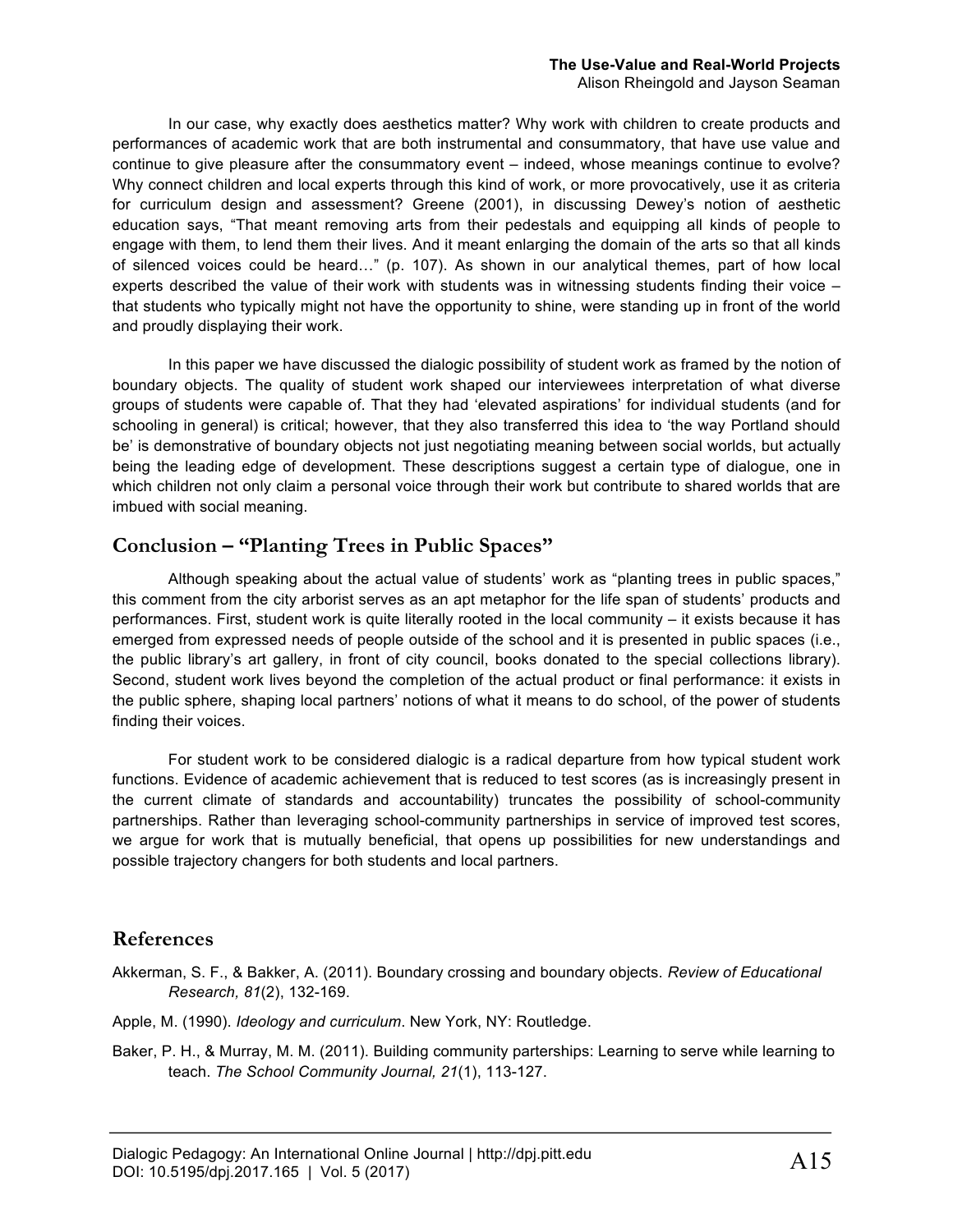# **The Use-Value and Real-World Projects**

Alison Rheingold and Jayson Seaman

In our case, why exactly does aesthetics matter? Why work with children to create products and performances of academic work that are both instrumental and consummatory, that have use value and continue to give pleasure after the consummatory event – indeed, whose meanings continue to evolve? Why connect children and local experts through this kind of work, or more provocatively, use it as criteria for curriculum design and assessment? Greene (2001), in discussing Dewey's notion of aesthetic education says, "That meant removing arts from their pedestals and equipping all kinds of people to engage with them, to lend them their lives. And it meant enlarging the domain of the arts so that all kinds of silenced voices could be heard…" (p. 107). As shown in our analytical themes, part of how local experts described the value of their work with students was in witnessing students finding their voice – that students who typically might not have the opportunity to shine, were standing up in front of the world and proudly displaying their work.

In this paper we have discussed the dialogic possibility of student work as framed by the notion of boundary objects. The quality of student work shaped our interviewees interpretation of what diverse groups of students were capable of. That they had 'elevated aspirations' for individual students (and for schooling in general) is critical; however, that they also transferred this idea to 'the way Portland should be' is demonstrative of boundary objects not just negotiating meaning between social worlds, but actually being the leading edge of development. These descriptions suggest a certain type of dialogue, one in which children not only claim a personal voice through their work but contribute to shared worlds that are imbued with social meaning.

### **Conclusion – "Planting Trees in Public Spaces"**

Although speaking about the actual value of students' work as "planting trees in public spaces," this comment from the city arborist serves as an apt metaphor for the life span of students' products and performances. First, student work is quite literally rooted in the local community – it exists because it has emerged from expressed needs of people outside of the school and it is presented in public spaces (i.e., the public library's art gallery, in front of city council, books donated to the special collections library). Second, student work lives beyond the completion of the actual product or final performance: it exists in the public sphere, shaping local partners' notions of what it means to do school, of the power of students finding their voices.

For student work to be considered dialogic is a radical departure from how typical student work functions. Evidence of academic achievement that is reduced to test scores (as is increasingly present in the current climate of standards and accountability) truncates the possibility of school-community partnerships. Rather than leveraging school-community partnerships in service of improved test scores, we argue for work that is mutually beneficial, that opens up possibilities for new understandings and possible trajectory changers for both students and local partners.

## **References**

- Akkerman, S. F., & Bakker, A. (2011). Boundary crossing and boundary objects. *Review of Educational Research, 81*(2), 132-169.
- Apple, M. (1990). *Ideology and curriculum*. New York, NY: Routledge.
- Baker, P. H., & Murray, M. M. (2011). Building community parterships: Learning to serve while learning to teach. *The School Community Journal, 21*(1), 113-127.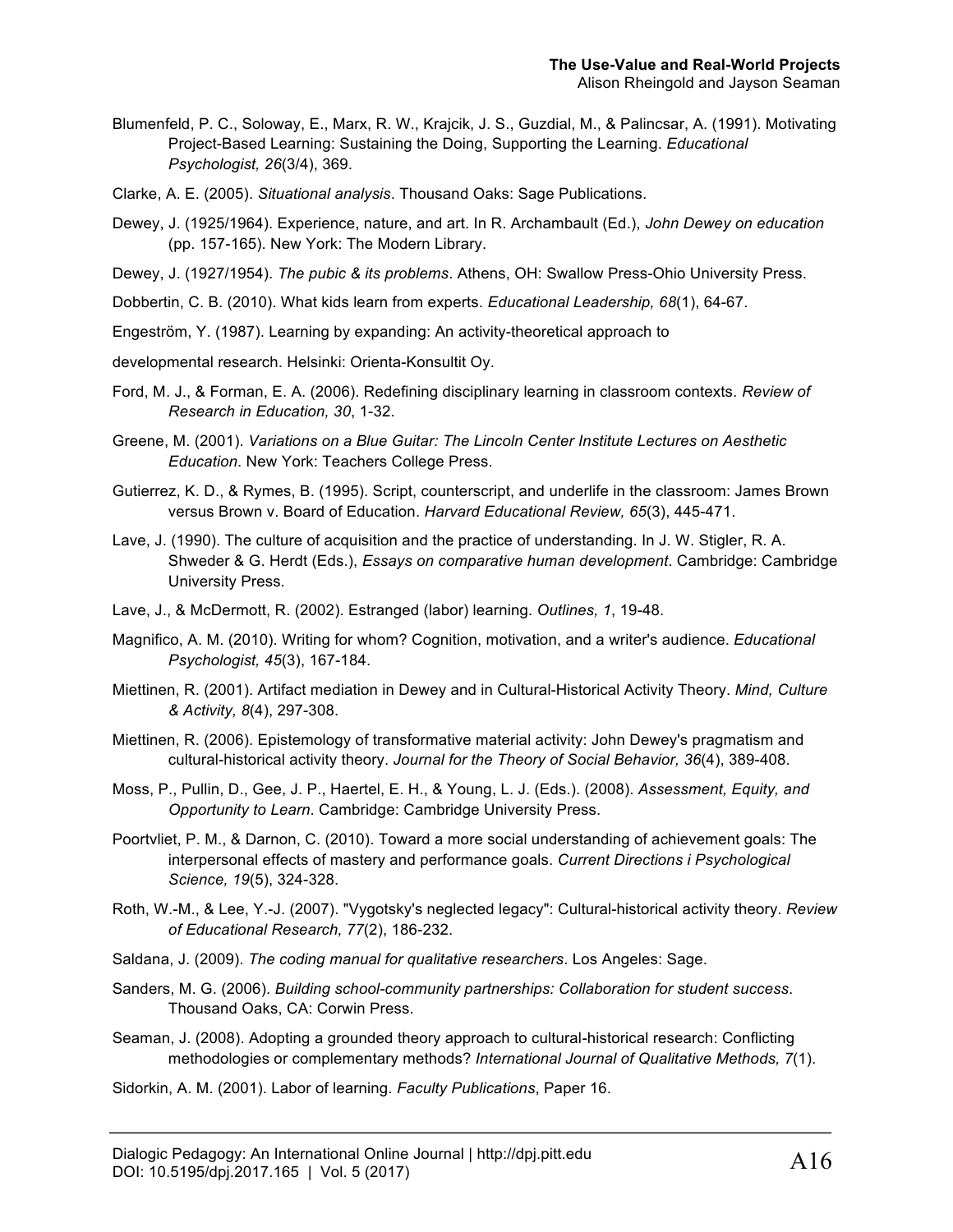- Blumenfeld, P. C., Soloway, E., Marx, R. W., Krajcik, J. S., Guzdial, M., & Palincsar, A. (1991). Motivating Project-Based Learning: Sustaining the Doing, Supporting the Learning. *Educational Psychologist, 26*(3/4), 369.
- Clarke, A. E. (2005). *Situational analysis*. Thousand Oaks: Sage Publications.
- Dewey, J. (1925/1964). Experience, nature, and art. In R. Archambault (Ed.), *John Dewey on education*  (pp. 157-165). New York: The Modern Library.
- Dewey, J. (1927/1954). *The pubic & its problems*. Athens, OH: Swallow Press-Ohio University Press.
- Dobbertin, C. B. (2010). What kids learn from experts. *Educational Leadership, 68*(1), 64-67.
- Engeström, Y. (1987). Learning by expanding: An activity-theoretical approach to
- developmental research. Helsinki: Orienta-Konsultit Oy.
- Ford, M. J., & Forman, E. A. (2006). Redefining disciplinary learning in classroom contexts. *Review of Research in Education, 30*, 1-32.
- Greene, M. (2001). *Variations on a Blue Guitar: The Lincoln Center Institute Lectures on Aesthetic Education*. New York: Teachers College Press.
- Gutierrez, K. D., & Rymes, B. (1995). Script, counterscript, and underlife in the classroom: James Brown versus Brown v. Board of Education. *Harvard Educational Review, 65*(3), 445-471.
- Lave, J. (1990). The culture of acquisition and the practice of understanding. In J. W. Stigler, R. A. Shweder & G. Herdt (Eds.), *Essays on comparative human development*. Cambridge: Cambridge University Press.
- Lave, J., & McDermott, R. (2002). Estranged (labor) learning. *Outlines, 1*, 19-48.
- Magnifico, A. M. (2010). Writing for whom? Cognition, motivation, and a writer's audience. *Educational Psychologist, 45*(3), 167-184.
- Miettinen, R. (2001). Artifact mediation in Dewey and in Cultural-Historical Activity Theory. *Mind, Culture & Activity, 8*(4), 297-308.
- Miettinen, R. (2006). Epistemology of transformative material activity: John Dewey's pragmatism and cultural-historical activity theory. *Journal for the Theory of Social Behavior, 36*(4), 389-408.
- Moss, P., Pullin, D., Gee, J. P., Haertel, E. H., & Young, L. J. (Eds.). (2008). *Assessment, Equity, and Opportunity to Learn*. Cambridge: Cambridge University Press.
- Poortvliet, P. M., & Darnon, C. (2010). Toward a more social understanding of achievement goals: The interpersonal effects of mastery and performance goals. *Current Directions i Psychological Science, 19*(5), 324-328.
- Roth, W.-M., & Lee, Y.-J. (2007). "Vygotsky's neglected legacy": Cultural-historical activity theory. *Review of Educational Research, 77*(2), 186-232.
- Saldana, J. (2009). *The coding manual for qualitative researchers*. Los Angeles: Sage.
- Sanders, M. G. (2006). *Building school-community partnerships: Collaboration for student success*. Thousand Oaks, CA: Corwin Press.
- Seaman, J. (2008). Adopting a grounded theory approach to cultural-historical research: Conflicting methodologies or complementary methods? *International Journal of Qualitative Methods, 7*(1).

Sidorkin, A. M. (2001). Labor of learning. *Faculty Publications*, Paper 16.